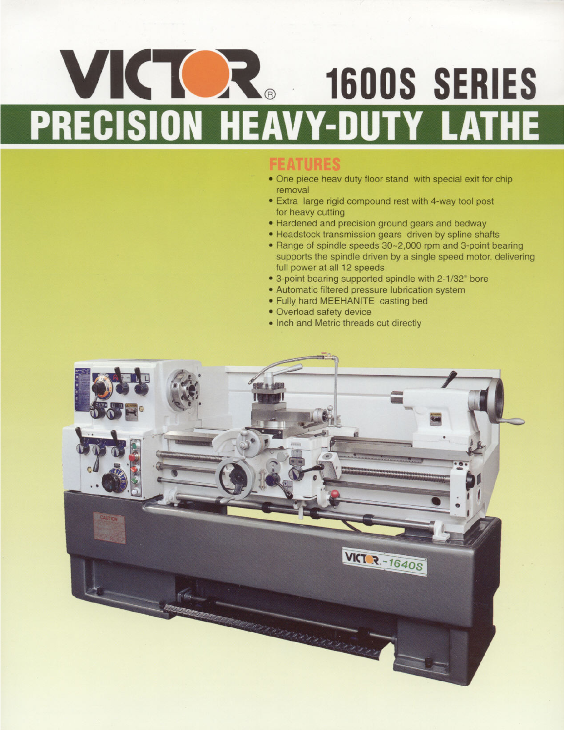# VICTOR 1600S SERIES PRECISION HEAVY-DUTY LATHE

- One piece heav duty floor stand with special exit for chip removal
- Extra large rigid compound rest with 4-way tool post for heavy cutting
- Hardened and precision ground gears and bedway
- Headstock transmission gears driven by spline shafts
- Range of spindle speeds 30~2,000 rpm and 3-point bearing supports the spindle driven by a single speed motor. delivering full power at all 12 speeds
- 3-point bearing supported spindle with 2-1/32" bore
- Automatic filtered pressure lubrication system
- . Fully hard MEEHANITE casting bed
- Overload safety device
- Inch and Metric threads cut directly